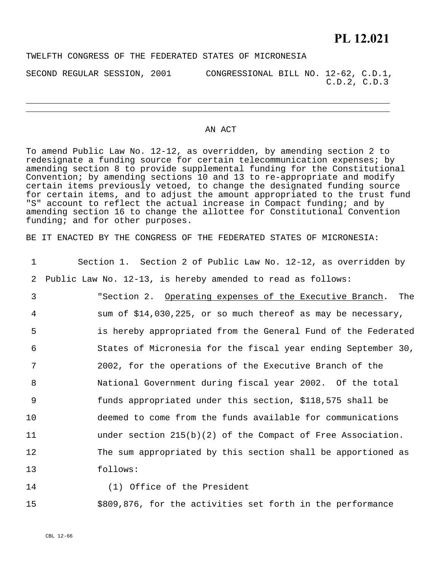## **PL 12.021**

TWELFTH CONGRESS OF THE FEDERATED STATES OF MICRONESIA

SECOND REGULAR SESSION, 2001 CONGRESSIONAL BILL NO. 12-62, C.D.1, C.D.2, C.D.3

## AN ACT

To amend Public Law No. 12-12, as overridden, by amending section 2 to redesignate a funding source for certain telecommunication expenses; by amending section 8 to provide supplemental funding for the Constitutional Convention; by amending sections 10 and 13 to re-appropriate and modify certain items previously vetoed, to change the designated funding source for certain items, and to adjust the amount appropriated to the trust fund "S" account to reflect the actual increase in Compact funding; and by amending section 16 to change the allottee for Constitutional Convention funding; and for other purposes.

BE IT ENACTED BY THE CONGRESS OF THE FEDERATED STATES OF MICRONESIA:

| $\mathbf 1$ | Section 1. Section 2 of Public Law No. 12-12, as overridden by |
|-------------|----------------------------------------------------------------|
| 2           | Public Law No. 12-13, is hereby amended to read as follows:    |
| 3           | "Section 2. Operating expenses of the Executive Branch. The    |
| 4           | sum of \$14,030,225, or so much thereof as may be necessary,   |
| 5           | is hereby appropriated from the General Fund of the Federated  |
| 6           | States of Micronesia for the fiscal year ending September 30,  |
| 7           | 2002, for the operations of the Executive Branch of the        |
| 8           | National Government during fiscal year 2002. Of the total      |
| 9           | funds appropriated under this section, \$118,575 shall be      |
| 10          | deemed to come from the funds available for communications     |
| 11          | under section $215(b)(2)$ of the Compact of Free Association.  |
| 12          | The sum appropriated by this section shall be apportioned as   |
| 13          | follows:                                                       |
|             |                                                                |

- 14
- (1) Office of the President

15 \$809,876, for the activities set forth in the performance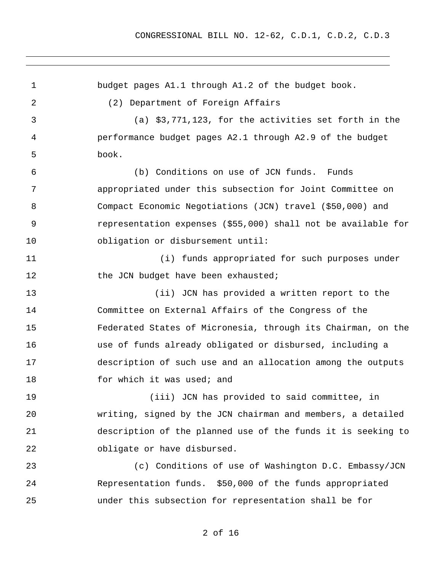| $\mathbf 1$ | budget pages A1.1 through A1.2 of the budget book.            |
|-------------|---------------------------------------------------------------|
| 2           | (2) Department of Foreign Affairs                             |
| 3           | (a) $$3,771,123$ , for the activities set forth in the        |
| 4           | performance budget pages A2.1 through A2.9 of the budget      |
| 5           | book.                                                         |
| 6           | (b) Conditions on use of JCN funds. Funds                     |
| 7           | appropriated under this subsection for Joint Committee on     |
| 8           | Compact Economic Negotiations (JCN) travel (\$50,000) and     |
| 9           | representation expenses (\$55,000) shall not be available for |
| 10          | obligation or disbursement until:                             |
| 11          | (i) funds appropriated for such purposes under                |
| 12          | the JCN budget have been exhausted;                           |
| 13          | (ii) JCN has provided a written report to the                 |
| 14          | Committee on External Affairs of the Congress of the          |
| 15          | Federated States of Micronesia, through its Chairman, on the  |
| 16          | use of funds already obligated or disbursed, including a      |
| 17          | description of such use and an allocation among the outputs   |
| 18          | for which it was used; and                                    |
| 19          | (iii) JCN has provided to said committee, in                  |
| 20          | writing, signed by the JCN chairman and members, a detailed   |
| 21          | description of the planned use of the funds it is seeking to  |
| 22          | obligate or have disbursed.                                   |
| 23          | (c) Conditions of use of Washington D.C. Embassy/JCN          |
| 24          | Representation funds. \$50,000 of the funds appropriated      |
| 25          | under this subsection for representation shall be for         |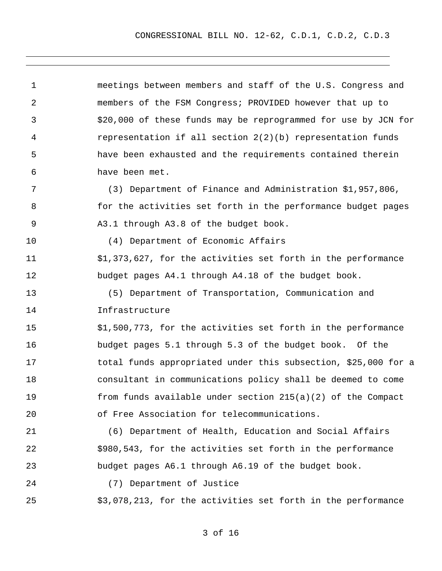1 2 3 4 5 6 7 8 9 10 11 12 13 14 15 16 17 18 19 20 21 22 23 24 25 meetings between members and staff of the U.S. Congress and members of the FSM Congress; PROVIDED however that up to \$20,000 of these funds may be reprogrammed for use by JCN for representation if all section 2(2)(b) representation funds have been exhausted and the requirements contained therein have been met. (3) Department of Finance and Administration \$1,957,806, for the activities set forth in the performance budget pages A3.1 through A3.8 of the budget book. (4) Department of Economic Affairs \$1,373,627, for the activities set forth in the performance budget pages A4.1 through A4.18 of the budget book. (5) Department of Transportation, Communication and Infrastructure \$1,500,773, for the activities set forth in the performance budget pages 5.1 through 5.3 of the budget book. Of the total funds appropriated under this subsection, \$25,000 for a consultant in communications policy shall be deemed to come from funds available under section 215(a)(2) of the Compact of Free Association for telecommunications. (6) Department of Health, Education and Social Affairs \$980,543, for the activities set forth in the performance budget pages A6.1 through A6.19 of the budget book. (7) Department of Justice \$3,078,213, for the activities set forth in the performance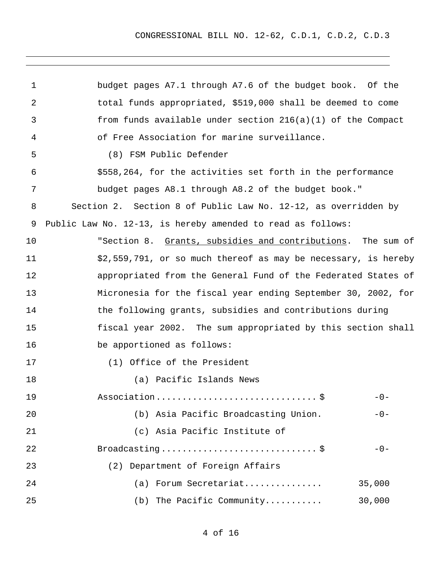| 1  | budget pages A7.1 through A7.6 of the budget book. Of the      |
|----|----------------------------------------------------------------|
| 2  | total funds appropriated, \$519,000 shall be deemed to come    |
| 3  | from funds available under section $216(a)(1)$ of the Compact  |
| 4  | of Free Association for marine surveillance.                   |
| 5  | (8) FSM Public Defender                                        |
| 6  | \$558,264, for the activities set forth in the performance     |
| 7  | budget pages A8.1 through A8.2 of the budget book."            |
| 8  | Section 2. Section 8 of Public Law No. 12-12, as overridden by |
| 9  | Public Law No. 12-13, is hereby amended to read as follows:    |
| 10 | "Section 8. Grants, subsidies and contributions. The sum of    |
| 11 | \$2,559,791, or so much thereof as may be necessary, is hereby |
| 12 | appropriated from the General Fund of the Federated States of  |
| 13 | Micronesia for the fiscal year ending September 30, 2002, for  |
| 14 | the following grants, subsidies and contributions during       |
| 15 | fiscal year 2002. The sum appropriated by this section shall   |
| 16 | be apportioned as follows:                                     |
| 17 | (1) Office of the President                                    |
| 18 | (a) Pacific Islands News                                       |
| 19 | $-0-$                                                          |
| 20 | (b) Asia Pacific Broadcasting Union.<br>$-0-$                  |
| 21 | (c) Asia Pacific Institute of                                  |
| 22 | $-0-$                                                          |
| 23 | (2) Department of Foreign Affairs                              |
| 24 | Forum Secretariat<br>35,000<br>(a)                             |
| 25 | (b) The Pacific Community<br>30,000                            |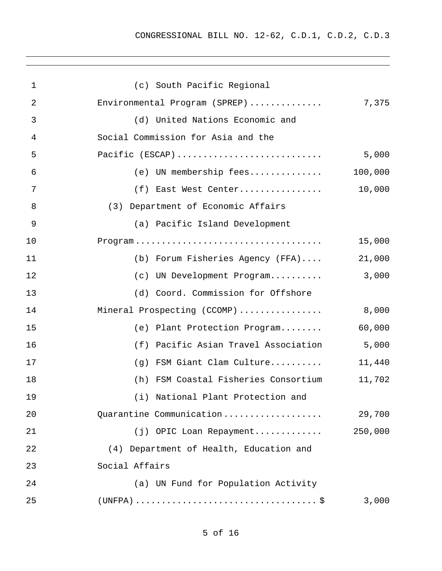| $\mathbf 1$    | (c) South Pacific Regional              |         |
|----------------|-----------------------------------------|---------|
| 2              | Environmental Program (SPREP)           | 7,375   |
| 3              | (d) United Nations Economic and         |         |
| 4              | Social Commission for Asia and the      |         |
| 5              | Pacific (ESCAP)                         | 5,000   |
| 6              | (e) UN membership fees                  | 100,000 |
| 7              | (f) East West Center                    | 10,000  |
| 8              | (3) Department of Economic Affairs      |         |
| $\overline{9}$ | (a) Pacific Island Development          |         |
| 10             |                                         | 15,000  |
| 11             | (b) Forum Fisheries Agency (FFA)        | 21,000  |
| 12             | (c) UN Development Program              | 3,000   |
| 13             | (d) Coord. Commission for Offshore      |         |
| 14             | Mineral Prospecting (CCOMP)             | 8,000   |
| 15             | (e) Plant Protection Program            | 60,000  |
| 16             | Pacific Asian Travel Association<br>(f) | 5,000   |
| 17             | (g) FSM Giant Clam Culture              | 11,440  |
| 18             | (h) FSM Coastal Fisheries Consortium    | 11,702  |
| 19             | (i) National Plant Protection and       |         |
| 20             | Quarantine Communication                | 29,700  |
| 21             | (j) OPIC Loan Repayment                 | 250,000 |
| 22             | (4) Department of Health, Education and |         |
| 23             | Social Affairs                          |         |
| 24             | (a) UN Fund for Population Activity     |         |
| 25             |                                         | 3,000   |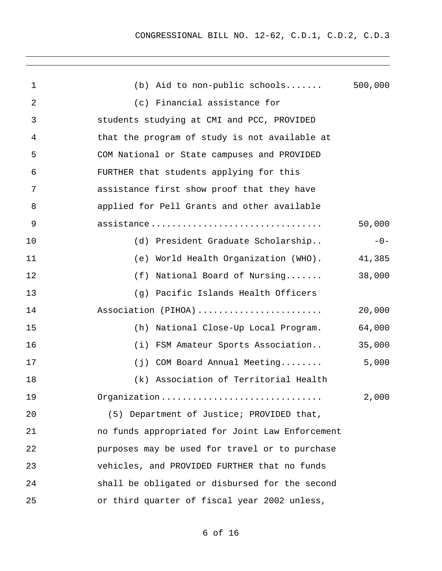CONGRESSIONAL BILL NO. 12-62, C.D.1, C.D.2, C.D.3

| 1  | (b) Aid to non-public schools $500,000$         |        |
|----|-------------------------------------------------|--------|
| 2  | (c) Financial assistance for                    |        |
| 3  | students studying at CMI and PCC, PROVIDED      |        |
| 4  | that the program of study is not available at   |        |
| 5  | COM National or State campuses and PROVIDED     |        |
| 6  | FURTHER that students applying for this         |        |
| 7  | assistance first show proof that they have      |        |
| 8  | applied for Pell Grants and other available     |        |
| 9  | assistance                                      | 50,000 |
| 10 | (d) President Graduate Scholarship              | $-0-$  |
| 11 | World Health Organization (WHO). 41,385<br>(e)  |        |
| 12 | (f)<br>National Board of Nursing                | 38,000 |
| 13 | (g) Pacific Islands Health Officers             |        |
| 14 | Association (PIHOA)                             | 20,000 |
| 15 | (h)<br>National Close-Up Local Program.         | 64,000 |
| 16 | FSM Amateur Sports Association<br>(i)           | 35,000 |
| 17 | (j) COM Board Annual Meeting                    | 5,000  |
| 18 | (k) Association of Territorial Health           |        |
| 19 | Organization                                    | 2,000  |
| 20 | (5) Department of Justice; PROVIDED that,       |        |
| 21 | no funds appropriated for Joint Law Enforcement |        |
| 22 | purposes may be used for travel or to purchase  |        |
| 23 | vehicles, and PROVIDED FURTHER that no funds    |        |
| 24 | shall be obligated or disbursed for the second  |        |
| 25 | or third quarter of fiscal year 2002 unless,    |        |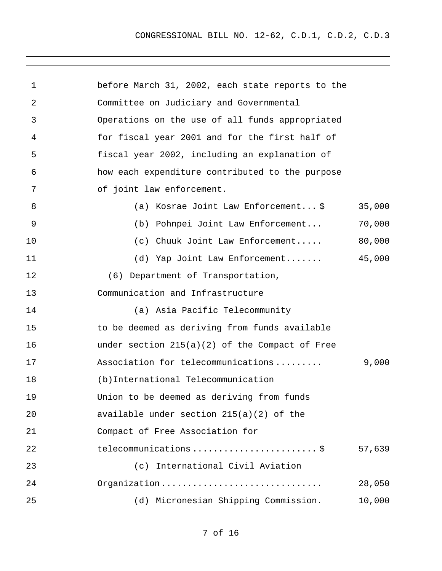| $\mathbf 1$ | before March 31, 2002, each state reports to the |        |
|-------------|--------------------------------------------------|--------|
| 2           | Committee on Judiciary and Governmental          |        |
| 3           | Operations on the use of all funds appropriated  |        |
| 4           | for fiscal year 2001 and for the first half of   |        |
| 5           | fiscal year 2002, including an explanation of    |        |
| 6           | how each expenditure contributed to the purpose  |        |
| 7           | of joint law enforcement.                        |        |
| 8           | (a) Kosrae Joint Law Enforcement\$               | 35,000 |
| 9           | (b) Pohnpei Joint Law Enforcement                | 70,000 |
| 10          | (c) Chuuk Joint Law Enforcement                  | 80,000 |
| 11          | (d) Yap Joint Law Enforcement                    | 45,000 |
| 12          | (6) Department of Transportation,                |        |
| 13          | Communication and Infrastructure                 |        |
| 14          | (a) Asia Pacific Telecommunity                   |        |
| 15          | to be deemed as deriving from funds available    |        |
| 16          | under section $215(a)(2)$ of the Compact of Free |        |
| 17          | Association for telecommunications               | 9,000  |
| 18          | (b) International Telecommunication              |        |
| 19          | Union to be deemed as deriving from funds        |        |
| 20          | available under section $215(a)(2)$ of the       |        |
| 21          | Compact of Free Association for                  |        |
| 22          | telecommunications  \$                           | 57,639 |
| 23          | (c) International Civil Aviation                 |        |
| 24          | Organization                                     | 28,050 |
| 25          | (d) Micronesian Shipping Commission.             | 10,000 |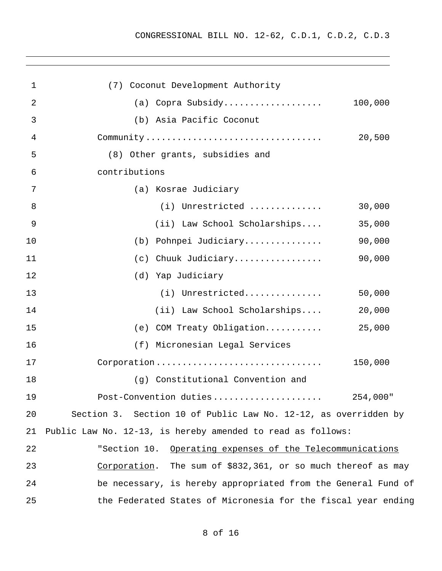| $\mathbf 1$    | (7) Coconut Development Authority                               |
|----------------|-----------------------------------------------------------------|
| $\overline{2}$ | (a) Copra Subsidy<br>100,000                                    |
| 3              | (b) Asia Pacific Coconut                                        |
| 4              | 20,500                                                          |
| 5              | (8) Other grants, subsidies and                                 |
| 6              | contributions                                                   |
| 7              | (a) Kosrae Judiciary                                            |
| 8              | (i) Unrestricted<br>30,000                                      |
| $\overline{9}$ | (ii) Law School Scholarships<br>35,000                          |
| 10             | (b) Pohnpei Judiciary<br>90,000                                 |
| 11             | 90,000<br>(c) Chuuk Judiciary                                   |
| 12             | (d) Yap Judiciary                                               |
| 13             | (i) Unrestricted<br>50,000                                      |
| 14             | (ii) Law School Scholarships<br>20,000                          |
| 15             | (e) COM Treaty Obligation<br>25,000                             |
| 16             | (f) Micronesian Legal Services                                  |
| 17             | Corporation<br>150,000                                          |
| 18             | (g) Constitutional Convention and                               |
| 19             |                                                                 |
| 20             | Section 3. Section 10 of Public Law No. 12-12, as overridden by |
| 21             | Public Law No. 12-13, is hereby amended to read as follows:     |
| 22             | "Section 10. Operating expenses of the Telecommunications       |
| 23             | Corporation. The sum of \$832,361, or so much thereof as may    |
| 24             | be necessary, is hereby appropriated from the General Fund of   |
| 25             | the Federated States of Micronesia for the fiscal year ending   |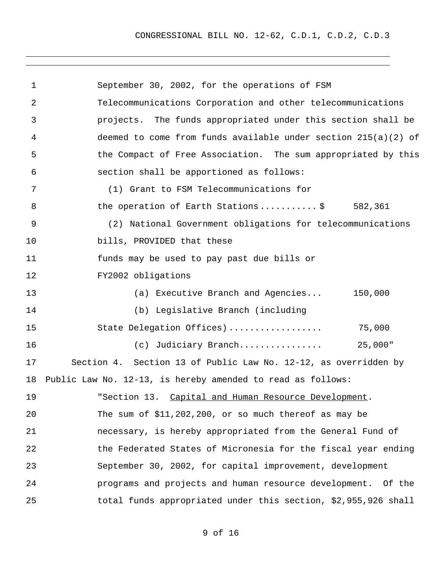CONGRESSIONAL BILL NO. 12-62, C.D.1, C.D.2, C.D.3

| $\mathbf 1$ | September 30, 2002, for the operations of FSM                    |
|-------------|------------------------------------------------------------------|
| 2           | Telecommunications Corporation and other telecommunications      |
| 3           | projects. The funds appropriated under this section shall be     |
| 4           | deemed to come from funds available under section $215(a)(2)$ of |
| 5           | the Compact of Free Association. The sum appropriated by this    |
| 6           | section shall be apportioned as follows:                         |
| 7           | (1) Grant to FSM Telecommunications for                          |
| 8           | the operation of Earth Stations\$ 582,361                        |
| 9           | (2) National Government obligations for telecommunications       |
| 10          | bills, PROVIDED that these                                       |
| 11          | funds may be used to pay past due bills or                       |
| 12          | FY2002 obligations                                               |
| 13          | (a) Executive Branch and Agencies 150,000                        |
| 14          | (b) Legislative Branch (including                                |
| 15          | State Delegation Offices)<br>75,000                              |
| 16          | 25,000"<br>(c) Judiciary Branch                                  |
| 17          | Section 4. Section 13 of Public Law No. 12-12, as overridden by  |
| 18          | Public Law No. 12-13, is hereby amended to read as follows:      |
| 19          | "Section 13. Capital and Human Resource Development.             |
| 20          | The sum of $$11,202,200$ , or so much thereof as may be          |
| 21          | necessary, is hereby appropriated from the General Fund of       |
| 22          | the Federated States of Micronesia for the fiscal year ending    |
| 23          | September 30, 2002, for capital improvement, development         |
| 24          | programs and projects and human resource development. Of the     |
| 25          | total funds appropriated under this section, \$2,955,926 shall   |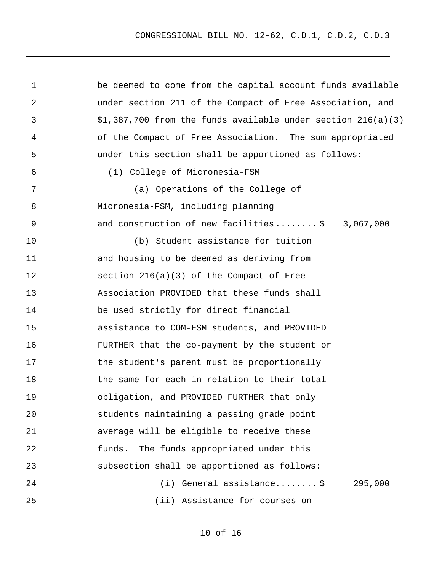| $\mathbf 1$ | be deemed to come from the capital account funds available      |
|-------------|-----------------------------------------------------------------|
| 2           | under section 211 of the Compact of Free Association, and       |
| 3           | $$1,387,700$ from the funds available under section $216(a)(3)$ |
| 4           | of the Compact of Free Association. The sum appropriated        |
| 5           | under this section shall be apportioned as follows:             |
| 6           | (1) College of Micronesia-FSM                                   |
| 7           | (a) Operations of the College of                                |
| 8           | Micronesia-FSM, including planning                              |
| 9           | and construction of new facilities\$ 3,067,000                  |
| 10          | (b) Student assistance for tuition                              |
| 11          | and housing to be deemed as deriving from                       |
| 12          | section $216(a)(3)$ of the Compact of Free                      |
| 13          | Association PROVIDED that these funds shall                     |
| 14          | be used strictly for direct financial                           |
| 15          | assistance to COM-FSM students, and PROVIDED                    |
| 16          | FURTHER that the co-payment by the student or                   |
| 17          | the student's parent must be proportionally                     |
| 18          | the same for each in relation to their total                    |
| 19          | obligation, and PROVIDED FURTHER that only                      |
| 20          | students maintaining a passing grade point                      |
| 21          | average will be eligible to receive these                       |
| 22          | The funds appropriated under this<br>funds.                     |
| 23          | subsection shall be apportioned as follows:                     |
| 24          | $(i)$ General assistance \$<br>295,000                          |
| 25          | (ii) Assistance for courses on                                  |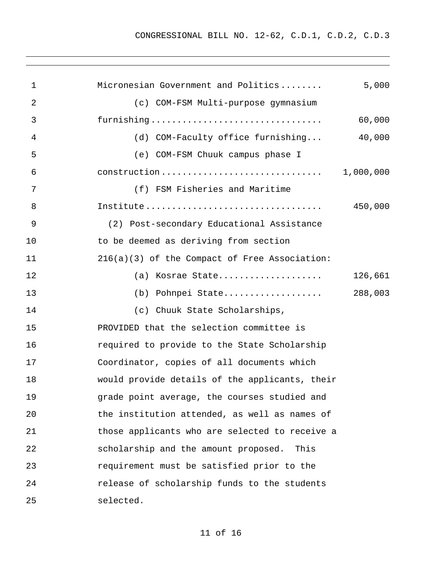| $\mathbf{1}$ | 5,000<br>Micronesian Government and Politics                                                      |
|--------------|---------------------------------------------------------------------------------------------------|
| 2            | (c) COM-FSM Multi-purpose gymnasium                                                               |
| 3            | furnishing<br>60,000                                                                              |
| 4            | (d) COM-Faculty office furnishing<br>40,000                                                       |
| 5            | (e) COM-FSM Chuuk campus phase I                                                                  |
| 6            | 1,000,000<br>$construction \ldots \ldots \ldots \ldots \ldots \ldots \ldots \ldots \ldots \ldots$ |
| 7            | (f) FSM Fisheries and Maritime                                                                    |
| 8            | 450,000                                                                                           |
| 9            | (2) Post-secondary Educational Assistance                                                         |
| 10           | to be deemed as deriving from section                                                             |
| 11           | 216(a)(3) of the Compact of Free Association:                                                     |
| 12           | 126,661<br>(a) Kosrae State                                                                       |
| 13           | 288,003<br>(b) Pohnpei State                                                                      |
| 14           | (c) Chuuk State Scholarships,                                                                     |
| 15           | PROVIDED that the selection committee is                                                          |
| 16           | required to provide to the State Scholarship                                                      |
| 17           | Coordinator, copies of all documents which                                                        |
| 18           | would provide details of the applicants, their                                                    |
| 19           | grade point average, the courses studied and                                                      |
| 20           | the institution attended, as well as names of                                                     |
| 21           | those applicants who are selected to receive a                                                    |
| 22           | scholarship and the amount proposed.<br>This                                                      |
| 23           | requirement must be satisfied prior to the                                                        |
| 24           | release of scholarship funds to the students                                                      |
| 25           | selected.                                                                                         |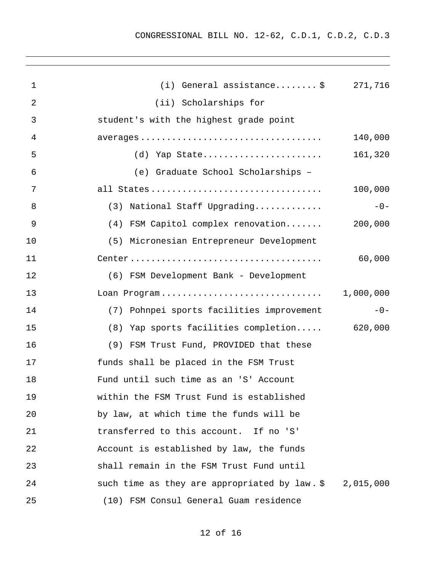| $\mathbf 1$ | (i) General assistance $\frac{1}{2}$ 271,716  |           |
|-------------|-----------------------------------------------|-----------|
| 2           | (ii) Scholarships for                         |           |
| 3           | student's with the highest grade point        |           |
| 4           |                                               | 140,000   |
| 5           | (d) Yap State                                 | 161,320   |
| 6           | (e) Graduate School Scholarships -            |           |
| 7           | all States                                    | 100,000   |
| 8           | (3) National Staff Upgrading                  | $-0-$     |
| 9           | (4) FSM Capitol complex renovation            | 200,000   |
| 10          | (5) Micronesian Entrepreneur Development      |           |
| 11          |                                               | 60,000    |
| 12          | (6) FSM Development Bank - Development        |           |
| 13          | Loan Program                                  | 1,000,000 |
| 14          | (7) Pohnpei sports facilities improvement     | $-0-$     |
| 15          | (8) Yap sports facilities completion 620,000  |           |
| 16          | (9) FSM Trust Fund, PROVIDED that these       |           |
| 17          | funds shall be placed in the FSM Trust        |           |
| 18          | Fund until such time as an 'S' Account        |           |
| 19          | within the FSM Trust Fund is established      |           |
| 20          | by law, at which time the funds will be       |           |
| 21          | transferred to this account. If no 'S'        |           |
| 22          | Account is established by law, the funds      |           |
| 23          | shall remain in the FSM Trust Fund until      |           |
| 24          | such time as they are appropriated by law. \$ | 2,015,000 |
| 25          | (10) FSM Consul General Guam residence        |           |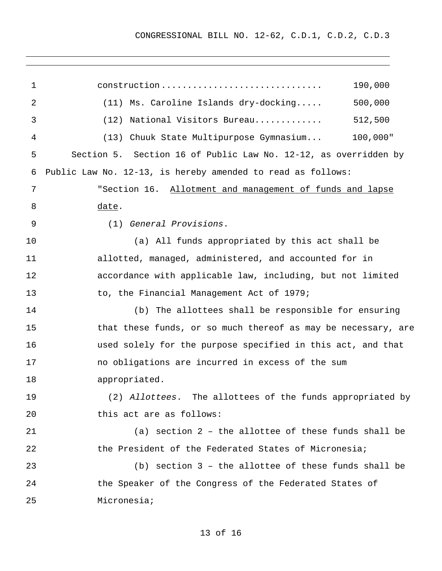| $\mathbf 1$ | 190,000<br>construction                                         |  |
|-------------|-----------------------------------------------------------------|--|
| 2           | 500,000<br>$(11)$ Ms. Caroline Islands dry-docking              |  |
| 3           | 512,500<br>National Visitors Bureau<br>(12)                     |  |
| 4           | 100,000"<br>(13) Chuuk State Multipurpose Gymnasium             |  |
| 5           | Section 5. Section 16 of Public Law No. 12-12, as overridden by |  |
| 6           | Public Law No. 12-13, is hereby amended to read as follows:     |  |
| 7           | "Section 16. Allotment and management of funds and lapse        |  |
| 8           | date.                                                           |  |
| 9           | (1) General Provisions.                                         |  |
| 10          | (a) All funds appropriated by this act shall be                 |  |
| 11          | allotted, managed, administered, and accounted for in           |  |
| 12          | accordance with applicable law, including, but not limited      |  |
| 13          | to, the Financial Management Act of 1979;                       |  |
| 14          | (b) The allottees shall be responsible for ensuring             |  |
| 15          | that these funds, or so much thereof as may be necessary, are   |  |
| 16          | used solely for the purpose specified in this act, and that     |  |
| 17          | no obligations are incurred in excess of the sum                |  |
| 18          | appropriated.                                                   |  |
| 19          | (2) Allottees. The allottees of the funds appropriated by       |  |
| 20          | this act are as follows:                                        |  |
| 21          | (a) section 2 - the allottee of these funds shall be            |  |
| 22          | the President of the Federated States of Micronesia;            |  |
| 23          | (b) section $3$ - the allottee of these funds shall be          |  |
| 24          | the Speaker of the Congress of the Federated States of          |  |
| 25          | Micronesia;                                                     |  |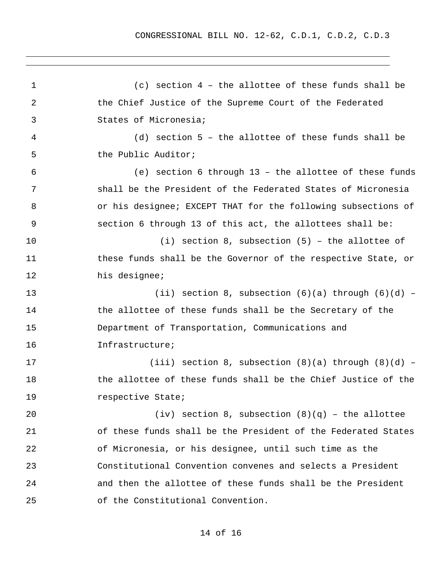1 2 3 4 5 6 7 8 9 10 11 12 13 14 15 16 17 18 19 20 21 22 23 24 25 (c) section 4 – the allottee of these funds shall be the Chief Justice of the Supreme Court of the Federated States of Micronesia; (d) section 5 – the allottee of these funds shall be the Public Auditor; (e) section 6 through 13 – the allottee of these funds shall be the President of the Federated States of Micronesia or his designee; EXCEPT THAT for the following subsections of section 6 through 13 of this act, the allottees shall be: (i) section 8, subsection (5) – the allottee of these funds shall be the Governor of the respective State, or his designee; (ii) section 8, subsection  $(6)(a)$  through  $(6)(d)$  the allottee of these funds shall be the Secretary of the Department of Transportation, Communications and Infrastructure; (iii) section 8, subsection  $(8)(a)$  through  $(8)(d)$  the allottee of these funds shall be the Chief Justice of the respective State; (iv) section 8, subsection  $(8)(q)$  - the allottee of these funds shall be the President of the Federated States of Micronesia, or his designee, until such time as the Constitutional Convention convenes and selects a President and then the allottee of these funds shall be the President of the Constitutional Convention.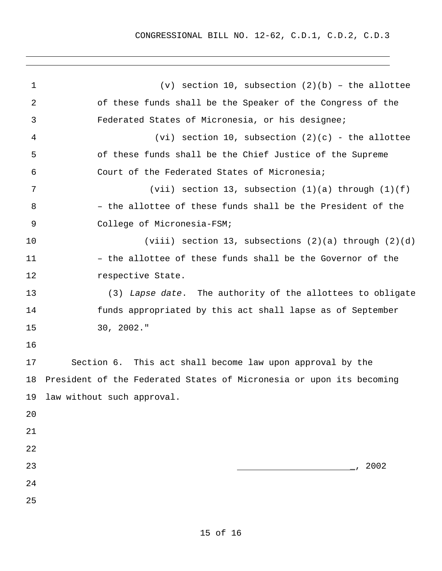| $\mathbf 1$ | $(v)$ section 10, subsection $(2)(b)$ - the allottee                 |  |  |
|-------------|----------------------------------------------------------------------|--|--|
| 2           | of these funds shall be the Speaker of the Congress of the           |  |  |
| 3           | Federated States of Micronesia, or his designee;                     |  |  |
| 4           | (vi) section 10, subsection $(2)(c)$ - the allottee                  |  |  |
| 5           | of these funds shall be the Chief Justice of the Supreme             |  |  |
| 6           | Court of the Federated States of Micronesia;                         |  |  |
| 7           | (vii) section 13, subsection $(1)(a)$ through $(1)(f)$               |  |  |
| 8           | - the allottee of these funds shall be the President of the          |  |  |
| 9           | College of Micronesia-FSM;                                           |  |  |
| 10          | (viii) section 13, subsections $(2)(a)$ through $(2)(d)$             |  |  |
| 11          | - the allottee of these funds shall be the Governor of the           |  |  |
| 12          | respective State.                                                    |  |  |
| 13          | (3) Lapse date. The authority of the allottees to obligate           |  |  |
| 14          | funds appropriated by this act shall lapse as of September           |  |  |
| 15          | $30, 2002.$ "                                                        |  |  |
| 16          |                                                                      |  |  |
| 17          | Section 6. This act shall become law upon approval by the            |  |  |
| 18          | President of the Federated States of Micronesia or upon its becoming |  |  |
|             | 19 law without such approval.                                        |  |  |
| 20          |                                                                      |  |  |
| 21          |                                                                      |  |  |
| 22          |                                                                      |  |  |
| 23          | 2002                                                                 |  |  |
| 24          |                                                                      |  |  |
| 25          |                                                                      |  |  |